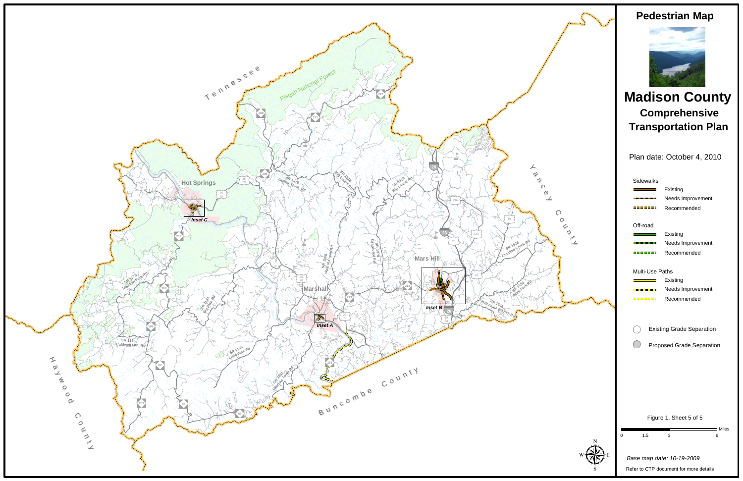

Plan date: October 4, 2010

## **Pedestrian Map**

## **Madison CountyTransportation Plan Comprehensive**

|   | <b>Sidewalks</b>         |                                                               |
|---|--------------------------|---------------------------------------------------------------|
|   |                          | Existing                                                      |
|   | <b>Contract Contract</b> | Needs Improvement                                             |
|   |                          | Recommended                                                   |
|   | Off-road                 |                                                               |
|   | <b>Service Control</b>   | Existing                                                      |
|   |                          | Needs Improvement                                             |
|   | -----                    | Recommended                                                   |
|   | Multi-Use Paths          |                                                               |
|   |                          | Existing                                                      |
|   | , <u>, , , , , , ,</u>   | Needs Improvement                                             |
|   | =======                  | Recommended                                                   |
|   |                          | <b>Existing Grade Separation</b><br>Proposed Grade Separation |
|   |                          |                                                               |
|   |                          | Figure 1, Sheet 5 of 5                                        |
| 0 | 1.5                      | Miles ב<br>3<br>6                                             |
|   |                          | Base map date: 10-19-2009                                     |